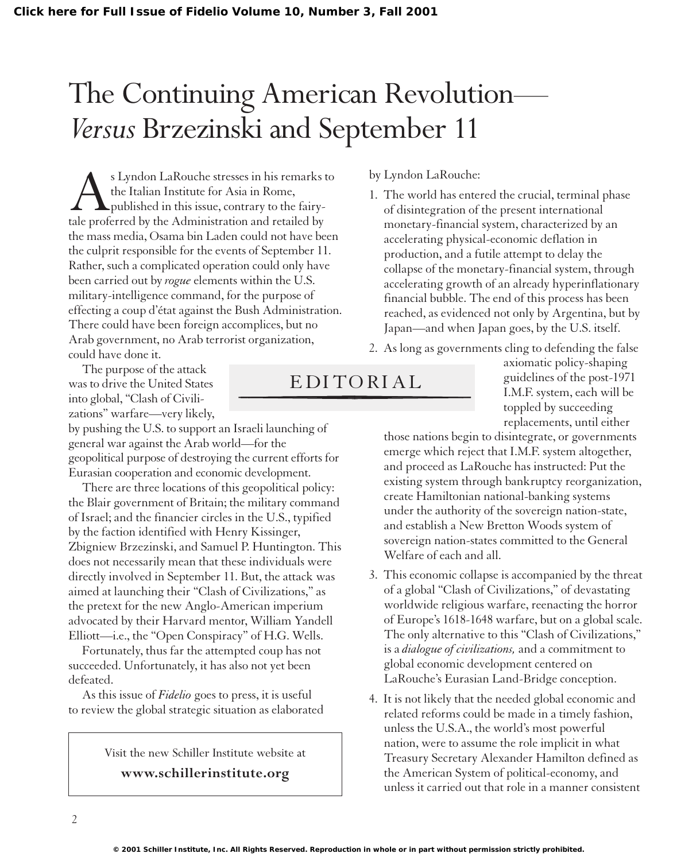## The Continuing American Revolution— *Versus* Brzezinski and September 11

Subsemingth Calcular Subseministics of the Italian Institute for Asia in Rome,<br>the Italian Institute for Asia in Rome,<br>tale proferred by the Administration and retailed by the Italian Institute for Asia in Rome, published in this issue, contrary to the fairytale proferred by the Administration and retailed by the mass media, Osama bin Laden could not have been the culprit responsible for the events of September 11. Rather, such a complicated operation could only have been carried out by *rogue* elements within the U.S. military-intelligence command, for the purpose of effecting a coup d'état against the Bush Administration. There could have been foreign accomplices, but no Arab government, no Arab terrorist organization, could have done it.

The purpose of the attack was to drive the United States into global, "Clash of Civilizations" warfare—very likely,

by pushing the U.S. to support an Israeli launching of general war against the Arab world—for the geopolitical purpose of destroying the current efforts for Eurasian cooperation and economic development.

There are three locations of this geopolitical policy: the Blair government of Britain; the military command of Israel; and the financier circles in the U.S., typified by the faction identified with Henry Kissinger, Zbigniew Brzezinski, and Samuel P. Huntington. This does not necessarily mean that these individuals were directly involved in September 11. But, the attack was aimed at launching their "Clash of Civilizations," as the pretext for the new Anglo-American imperium advocated by their Harvard mentor, William Yandell Elliott—i.e., the "Open Conspiracy" of H.G. Wells.

Fortunately, thus far the attempted coup has not succeeded. Unfortunately, it has also not yet been defeated.

As this issue of *Fidelio* goes to press, it is useful to review the global strategic situation as elaborated

Visit the new Schiller Institute website at

**www.schillerinstitute.org**

by Lyndon LaRouche:

- 1. The world has entered the crucial, terminal phase of disintegration of the present international monetary-financial system, characterized by an accelerating physical-economic deflation in production, and a futile attempt to delay the collapse of the monetary-financial system, through accelerating growth of an already hyperinflationary financial bubble. The end of this process has been reached, as evidenced not only by Argentina, but by Japan—and when Japan goes, by the U.S. itself.
- 2. As long as governments cling to defending the false

## EDITORIAL

axiomatic policy-shaping guidelines of the post-1971 I.M.F. system, each will be toppled by succeeding replacements, until either

those nations begin to disintegrate, or governments emerge which reject that I.M.F. system altogether, and proceed as LaRouche has instructed: Put the existing system through bankruptcy reorganization, create Hamiltonian national-banking systems under the authority of the sovereign nation-state, and establish a New Bretton Woods system of sovereign nation-states committed to the General Welfare of each and all.

- 3. This economic collapse is accompanied by the threat of a global "Clash of Civilizations," of devastating worldwide religious warfare, reenacting the horror of Europe's 1618-1648 warfare, but on a global scale. The only alternative to this "Clash of Civilizations," is a *dialogue of civilizations,* and a commitment to global economic development centered on LaRouche's Eurasian Land-Bridge conception.
- 4. It is not likely that the needed global economic and related reforms could be made in a timely fashion, unless the U.S.A., the world's most powerful nation, were to assume the role implicit in what Treasury Secretary Alexander Hamilton defined as the American System of political-economy, and unless it carried out that role in a manner consistent